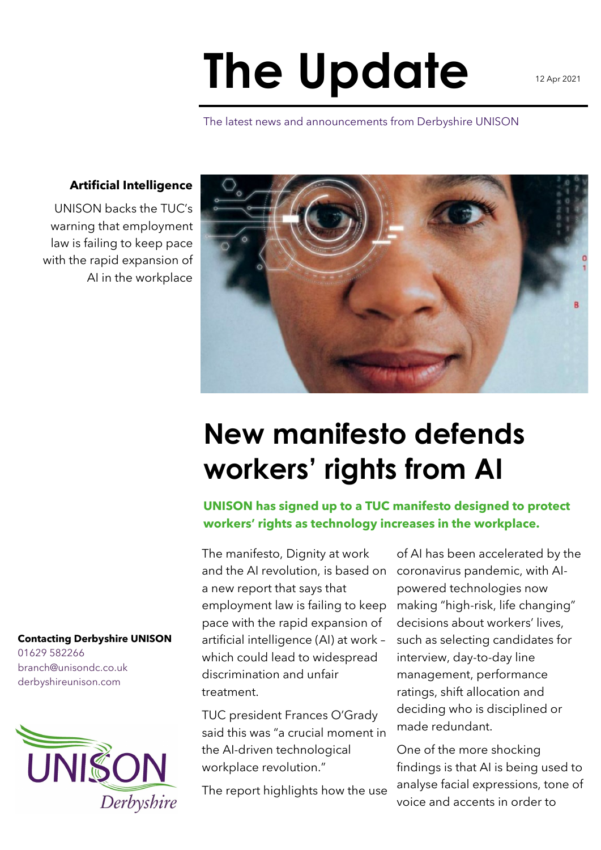## **The Update**

The latest news and announcements from Derbyshire UNISON

## **Artificial Intelligence**

UNISON backs the TUC's warning that employment law is failing to keep pace with the rapid expansion of AI in the workplace



## **New manifesto defends workers' rights from AI**

**UNISON has signed up to a TUC manifesto designed to protect workers' rights as technology increases in the workplace.**

The manifesto, Dignity at work and the AI revolution, is based on a new report that says that employment law is failing to keep pace with the rapid expansion of artificial intelligence (AI) at work – which could lead to widespread discrimination and unfair treatment.

TUC president Frances O'Grady said this was "a crucial moment in the AI-driven technological workplace revolution."

The report highlights how the use

of AI has been accelerated by the coronavirus pandemic, with AIpowered technologies now making "high-risk, life changing" decisions about workers' lives, such as selecting candidates for interview, day-to-day line management, performance ratings, shift allocation and deciding who is disciplined or made redundant.

One of the more shocking findings is that AI is being used to analyse facial expressions, tone of voice and accents in order to

## **Contacting Derbyshire UNISON**

01629 582266 branch@unisondc.co.uk derbyshireunison.com